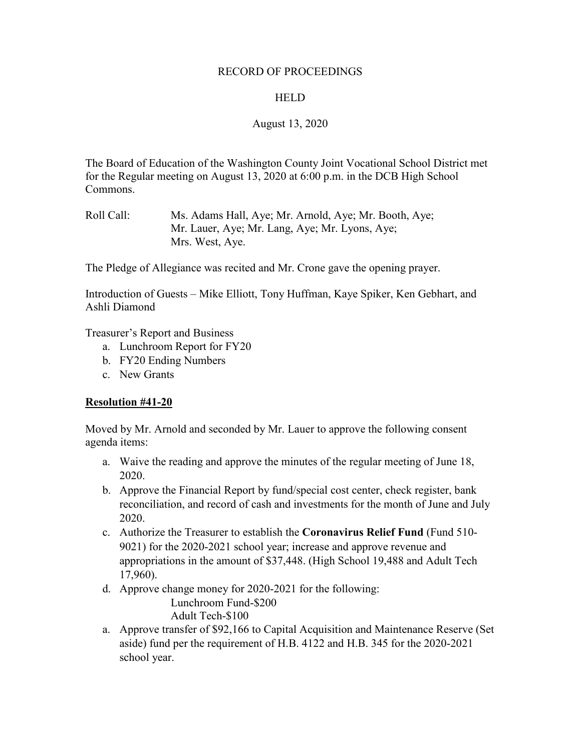### RECORD OF PROCEEDINGS

### HELD

## August 13, 2020

The Board of Education of the Washington County Joint Vocational School District met for the Regular meeting on August 13, 2020 at 6:00 p.m. in the DCB High School Commons.

The Pledge of Allegiance was recited and Mr. Crone gave the opening prayer.

Introduction of Guests – Mike Elliott, Tony Huffman, Kaye Spiker, Ken Gebhart, and Ashli Diamond

Treasurer's Report and Business

- a. Lunchroom Report for FY20
- b. FY20 Ending Numbers
- c. New Grants

### **Resolution #41-20**

Moved by Mr. Arnold and seconded by Mr. Lauer to approve the following consent agenda items:

- a. Waive the reading and approve the minutes of the regular meeting of June 18, 2020.
- b. Approve the Financial Report by fund/special cost center, check register, bank reconciliation, and record of cash and investments for the month of June and July 2020.
- c. Authorize the Treasurer to establish the **Coronavirus Relief Fund** (Fund 510- 9021) for the 2020-2021 school year; increase and approve revenue and appropriations in the amount of \$37,448. (High School 19,488 and Adult Tech 17,960).
- d. Approve change money for 2020-2021 for the following:

Lunchroom Fund-\$200 Adult Tech-\$100

a. Approve transfer of \$92,166 to Capital Acquisition and Maintenance Reserve (Set aside) fund per the requirement of H.B. 4122 and H.B. 345 for the 2020-2021 school year.

Roll Call: Ms. Adams Hall, Aye; Mr. Arnold, Aye; Mr. Booth, Aye; Mr. Lauer, Aye; Mr. Lang, Aye; Mr. Lyons, Aye; Mrs. West, Aye.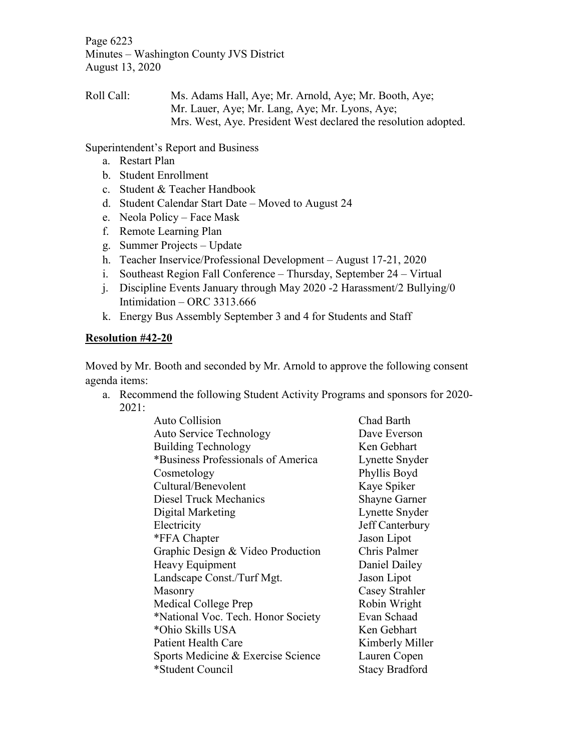Page 6223 Minutes – Washington County JVS District August 13, 2020

Roll Call: Ms. Adams Hall, Aye; Mr. Arnold, Aye; Mr. Booth, Aye; Mr. Lauer, Aye; Mr. Lang, Aye; Mr. Lyons, Aye; Mrs. West, Aye. President West declared the resolution adopted.

Superintendent's Report and Business

- a. Restart Plan
- b. Student Enrollment
- c. Student & Teacher Handbook
- d. Student Calendar Start Date Moved to August 24
- e. Neola Policy Face Mask
- f. Remote Learning Plan
- g. Summer Projects Update
- h. Teacher Inservice/Professional Development August 17-21, 2020
- i. Southeast Region Fall Conference Thursday, September 24 Virtual
- j. Discipline Events January through May 2020 -2 Harassment/2 Bullying/0 Intimidation – ORC 3313.666
- k. Energy Bus Assembly September 3 and 4 for Students and Staff

# **Resolution #42-20**

Moved by Mr. Booth and seconded by Mr. Arnold to approve the following consent agenda items:

a. Recommend the following Student Activity Programs and sponsors for 2020- 2021:

| <b>Auto Collision</b>              | Chad Barth            |
|------------------------------------|-----------------------|
| <b>Auto Service Technology</b>     | Dave Everson          |
| <b>Building Technology</b>         | Ken Gebhart           |
| *Business Professionals of America | Lynette Snyder        |
| Cosmetology                        | Phyllis Boyd          |
| Cultural/Benevolent                | Kaye Spiker           |
| <b>Diesel Truck Mechanics</b>      | <b>Shayne Garner</b>  |
| Digital Marketing                  | Lynette Snyder        |
| Electricity                        | Jeff Canterbury       |
| *FFA Chapter                       | Jason Lipot           |
| Graphic Design & Video Production  | Chris Palmer          |
| Heavy Equipment                    | Daniel Dailey         |
| Landscape Const./Turf Mgt.         | Jason Lipot           |
| Masonry                            | Casey Strahler        |
| Medical College Prep               | Robin Wright          |
| *National Voc. Tech. Honor Society | Evan Schaad           |
| *Ohio Skills USA                   | Ken Gebhart           |
| <b>Patient Health Care</b>         | Kimberly Miller       |
| Sports Medicine & Exercise Science | Lauren Copen          |
| *Student Council                   | <b>Stacy Bradford</b> |
|                                    |                       |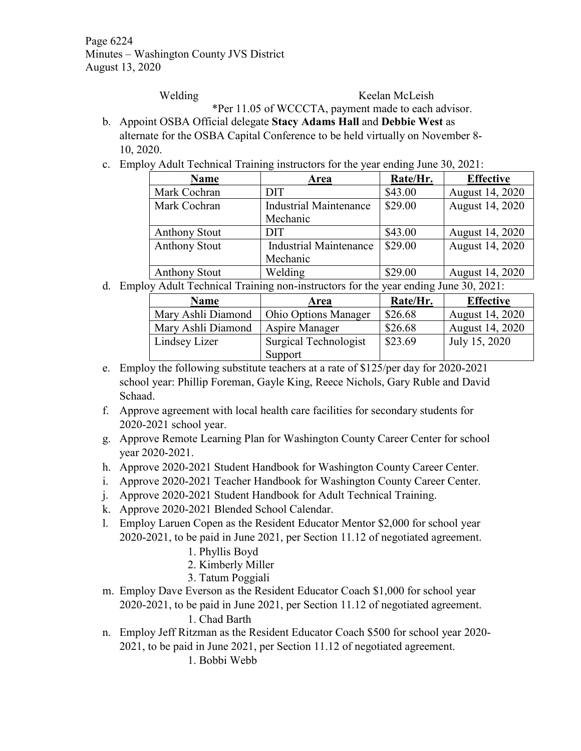Page 6224 Minutes – Washington County JVS District August 13, 2020

Welding Keelan McLeish

\*Per 11.05 of WCCCTA, payment made to each advisor.

- b. Appoint OSBA Official delegate **Stacy Adams Hall** and **Debbie West** as alternate for the OSBA Capital Conference to be held virtually on November 8- 10, 2020.
- c. Employ Adult Technical Training instructors for the year ending June 30, 2021:

| <b>Name</b>          | Area                          | Rate/Hr. | <b>Effective</b> |
|----------------------|-------------------------------|----------|------------------|
| Mark Cochran         | <b>DIT</b>                    | \$43.00  | August 14, 2020  |
| Mark Cochran         | <b>Industrial Maintenance</b> | \$29.00  | August 14, 2020  |
|                      | Mechanic                      |          |                  |
| <b>Anthony Stout</b> | <b>DIT</b>                    | \$43.00  | August 14, 2020  |
| <b>Anthony Stout</b> | <b>Industrial Maintenance</b> | \$29.00  | August 14, 2020  |
|                      | Mechanic                      |          |                  |
| <b>Anthony Stout</b> | Welding                       | \$29.00  | August 14, 2020  |

d. Employ Adult Technical Training non-instructors for the year ending June 30, 2021:

| <b>Name</b>        | Area                        | Rate/Hr. | <b>Effective</b>       |
|--------------------|-----------------------------|----------|------------------------|
| Mary Ashli Diamond | <b>Ohio Options Manager</b> | \$26.68  | <b>August 14, 2020</b> |
| Mary Ashli Diamond | Aspire Manager              | \$26.68  | <b>August 14, 2020</b> |
| Lindsey Lizer      | Surgical Technologist       | \$23.69  | July 15, 2020          |
|                    | Support                     |          |                        |

- e. Employ the following substitute teachers at a rate of \$125/per day for 2020-2021 school year: Phillip Foreman, Gayle King, Reece Nichols, Gary Ruble and David Schaad.
- f. Approve agreement with local health care facilities for secondary students for 2020-2021 school year.
- g. Approve Remote Learning Plan for Washington County Career Center for school year 2020-2021.
- h. Approve 2020-2021 Student Handbook for Washington County Career Center.
- i. Approve 2020-2021 Teacher Handbook for Washington County Career Center.
- j. Approve 2020-2021 Student Handbook for Adult Technical Training.
- k. Approve 2020-2021 Blended School Calendar.
- l. Employ Laruen Copen as the Resident Educator Mentor \$2,000 for school year 2020-2021, to be paid in June 2021, per Section 11.12 of negotiated agreement.
	- 1. Phyllis Boyd
	- 2. Kimberly Miller
	- 3. Tatum Poggiali
- m. Employ Dave Everson as the Resident Educator Coach \$1,000 for school year 2020-2021, to be paid in June 2021, per Section 11.12 of negotiated agreement. 1. Chad Barth
- n. Employ Jeff Ritzman as the Resident Educator Coach \$500 for school year 2020- 2021, to be paid in June 2021, per Section 11.12 of negotiated agreement.

1. Bobbi Webb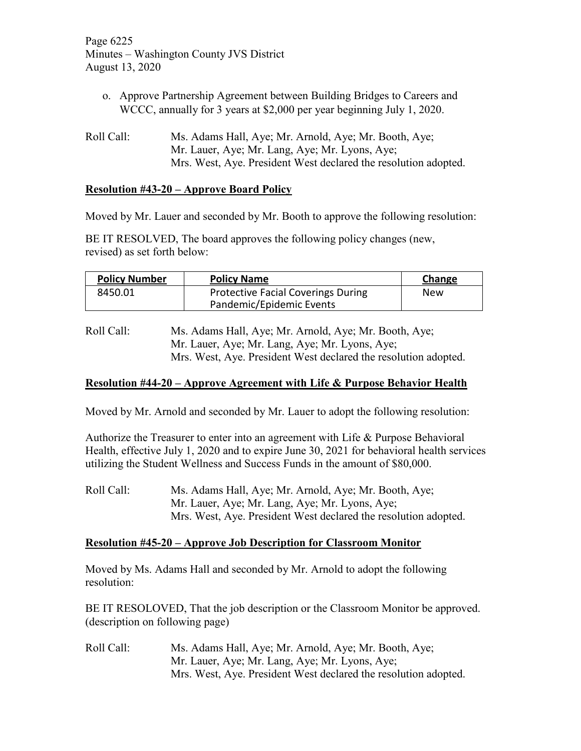Page 6225 Minutes – Washington County JVS District August 13, 2020

- o. Approve Partnership Agreement between Building Bridges to Careers and WCCC, annually for 3 years at \$2,000 per year beginning July 1, 2020.
- Roll Call: Ms. Adams Hall, Aye; Mr. Arnold, Aye; Mr. Booth, Aye; Mr. Lauer, Aye; Mr. Lang, Aye; Mr. Lyons, Aye; Mrs. West, Aye. President West declared the resolution adopted.

## **Resolution #43-20 – Approve Board Policy**

Moved by Mr. Lauer and seconded by Mr. Booth to approve the following resolution:

BE IT RESOLVED, The board approves the following policy changes (new, revised) as set forth below:

| <b>Policy Number</b> | <b>Policy Name</b>                        | <b>Change</b> |
|----------------------|-------------------------------------------|---------------|
| 8450.01              | <b>Protective Facial Coverings During</b> | New           |
|                      | Pandemic/Epidemic Events                  |               |

Roll Call: Ms. Adams Hall, Aye; Mr. Arnold, Aye; Mr. Booth, Aye; Mr. Lauer, Aye; Mr. Lang, Aye; Mr. Lyons, Aye; Mrs. West, Aye. President West declared the resolution adopted.

### **Resolution #44-20 – Approve Agreement with Life & Purpose Behavior Health**

Moved by Mr. Arnold and seconded by Mr. Lauer to adopt the following resolution:

Authorize the Treasurer to enter into an agreement with Life & Purpose Behavioral Health, effective July 1, 2020 and to expire June 30, 2021 for behavioral health services utilizing the Student Wellness and Success Funds in the amount of \$80,000.

Roll Call: Ms. Adams Hall, Aye; Mr. Arnold, Aye; Mr. Booth, Aye; Mr. Lauer, Aye; Mr. Lang, Aye; Mr. Lyons, Aye; Mrs. West, Aye. President West declared the resolution adopted.

### **Resolution #45-20 – Approve Job Description for Classroom Monitor**

Moved by Ms. Adams Hall and seconded by Mr. Arnold to adopt the following resolution:

BE IT RESOLOVED, That the job description or the Classroom Monitor be approved. (description on following page)

Roll Call: Ms. Adams Hall, Aye; Mr. Arnold, Aye; Mr. Booth, Aye; Mr. Lauer, Aye; Mr. Lang, Aye; Mr. Lyons, Aye; Mrs. West, Aye. President West declared the resolution adopted.